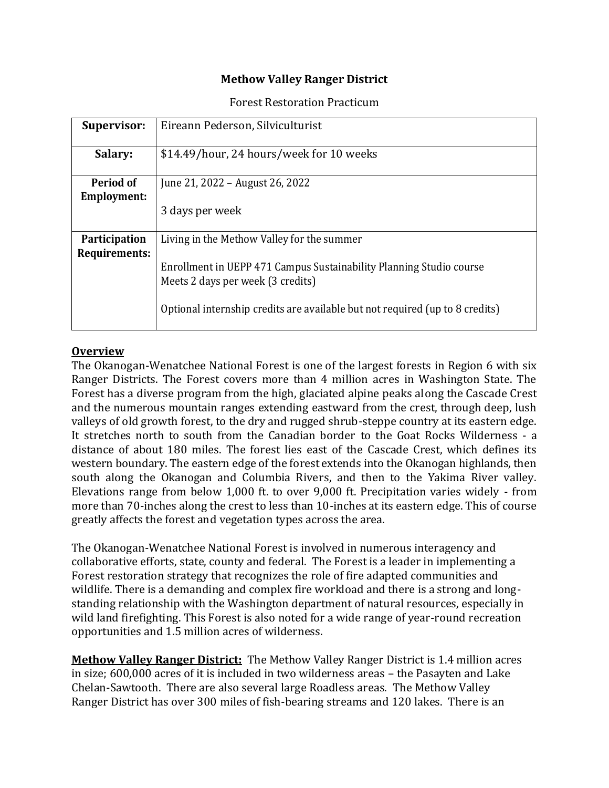### **Methow Valley Ranger District**

#### Forest Restoration Practicum

| <b>Supervisor:</b>                    | Eireann Pederson, Silviculturist                                                                                                                                                                                                       |
|---------------------------------------|----------------------------------------------------------------------------------------------------------------------------------------------------------------------------------------------------------------------------------------|
| Salary:                               | \$14.49/hour, 24 hours/week for 10 weeks                                                                                                                                                                                               |
| Period of<br><b>Employment:</b>       | June 21, 2022 – August 26, 2022<br>3 days per week                                                                                                                                                                                     |
| <b>Participation</b><br>Requirements: | Living in the Methow Valley for the summer<br>Enrollment in UEPP 471 Campus Sustainability Planning Studio course<br>Meets 2 days per week (3 credits)<br>Optional internship credits are available but not required (up to 8 credits) |

#### **Overview**

The Okanogan-Wenatchee National Forest is one of the largest forests in Region 6 with six Ranger Districts. The Forest covers more than 4 million acres in Washington State. The Forest has a diverse program from the high, glaciated alpine peaks along the Cascade Crest and the numerous mountain ranges extending eastward from the crest, through deep, lush valleys of old growth forest, to the dry and rugged shrub-steppe country at its eastern edge. It stretches north to south from the Canadian border to the Goat Rocks Wilderness - a distance of about 180 miles. The forest lies east of the Cascade Crest, which defines its western boundary. The eastern edge of the forest extends into the Okanogan highlands, then south along the Okanogan and Columbia Rivers, and then to the Yakima River valley. Elevations range from below 1,000 ft. to over 9,000 ft. Precipitation varies widely - from more than 70-inches along the crest to less than 10-inches at its eastern edge. This of course greatly affects the forest and vegetation types across the area.

The Okanogan-Wenatchee National Forest is involved in numerous interagency and collaborative efforts, state, county and federal. The Forest is a leader in implementing a Forest restoration strategy that recognizes the role of fire adapted communities and wildlife. There is a demanding and complex fire workload and there is a strong and longstanding relationship with the Washington department of natural resources, especially in wild land firefighting. This Forest is also noted for a wide range of year-round recreation opportunities and 1.5 million acres of wilderness.

**Methow Valley Ranger District:** The Methow Valley Ranger District is 1.4 million acres in size; 600,000 acres of it is included in two wilderness areas – the Pasayten and Lake Chelan-Sawtooth. There are also several large Roadless areas. The Methow Valley Ranger District has over 300 miles of fish-bearing streams and 120 lakes. There is an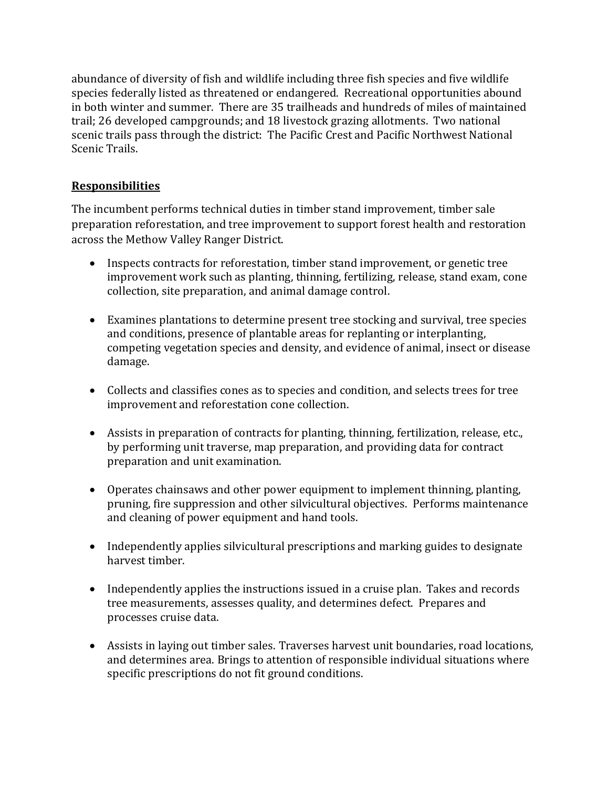abundance of diversity of fish and wildlife including three fish species and five wildlife species federally listed as threatened or endangered. Recreational opportunities abound in both winter and summer. There are 35 trailheads and hundreds of miles of maintained trail; 26 developed campgrounds; and 18 livestock grazing allotments. Two national scenic trails pass through the district: The Pacific Crest and Pacific Northwest National Scenic Trails.

### **Responsibilities**

The incumbent performs technical duties in timber stand improvement, timber sale preparation reforestation, and tree improvement to support forest health and restoration across the Methow Valley Ranger District.

- Inspects contracts for reforestation, timber stand improvement, or genetic tree improvement work such as planting, thinning, fertilizing, release, stand exam, cone collection, site preparation, and animal damage control.
- Examines plantations to determine present tree stocking and survival, tree species and conditions, presence of plantable areas for replanting or interplanting, competing vegetation species and density, and evidence of animal, insect or disease damage.
- Collects and classifies cones as to species and condition, and selects trees for tree improvement and reforestation cone collection.
- Assists in preparation of contracts for planting, thinning, fertilization, release, etc., by performing unit traverse, map preparation, and providing data for contract preparation and unit examination.
- Operates chainsaws and other power equipment to implement thinning, planting, pruning, fire suppression and other silvicultural objectives. Performs maintenance and cleaning of power equipment and hand tools.
- Independently applies silvicultural prescriptions and marking guides to designate harvest timber.
- Independently applies the instructions issued in a cruise plan. Takes and records tree measurements, assesses quality, and determines defect. Prepares and processes cruise data.
- Assists in laying out timber sales. Traverses harvest unit boundaries, road locations, and determines area. Brings to attention of responsible individual situations where specific prescriptions do not fit ground conditions.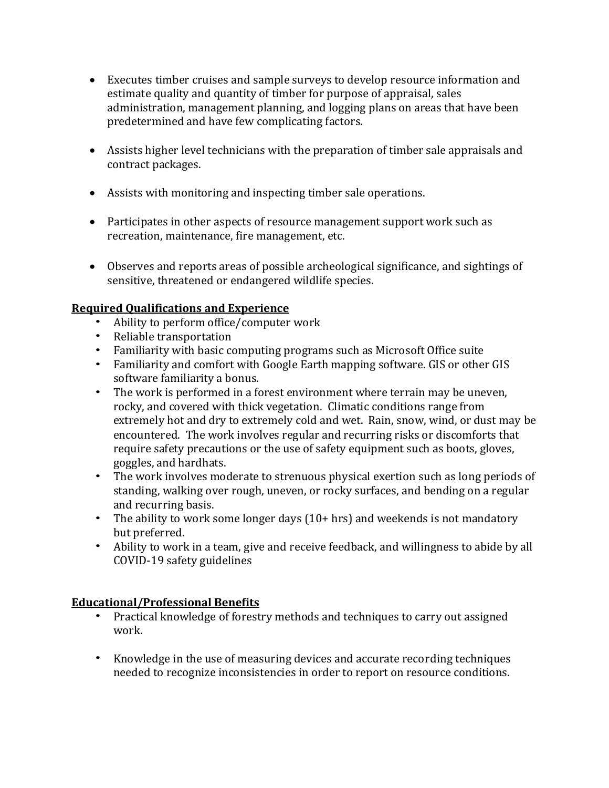- Executes timber cruises and sample surveys to develop resource information and estimate quality and quantity of timber for purpose of appraisal, sales administration, management planning, and logging plans on areas that have been predetermined and have few complicating factors.
- Assists higher level technicians with the preparation of timber sale appraisals and contract packages.
- Assists with monitoring and inspecting timber sale operations.
- Participates in other aspects of resource management support work such as recreation, maintenance, fire management, etc.
- Observes and reports areas of possible archeological significance, and sightings of sensitive, threatened or endangered wildlife species.

## **Required Qualifications and Experience**

- Ability to perform office/computer work
- Reliable transportation
- Familiarity with basic computing programs such as Microsoft Office suite
- Familiarity and comfort with Google Earth mapping software. GIS or other GIS software familiarity a bonus.
- The work is performed in a forest environment where terrain may be uneven, rocky, and covered with thick vegetation. Climatic conditions range from extremely hot and dry to extremely cold and wet. Rain, snow, wind, or dust may be encountered. The work involves regular and recurring risks or discomforts that require safety precautions or the use of safety equipment such as boots, gloves, goggles, and hardhats.
- The work involves moderate to strenuous physical exertion such as long periods of standing, walking over rough, uneven, or rocky surfaces, and bending on a regular and recurring basis.
- The ability to work some longer days (10+ hrs) and weekends is not mandatory but preferred.
- Ability to work in a team, give and receive feedback, and willingness to abide by all COVID-19 safety guidelines

# **Educational/Professional Benefits**

- Practical knowledge of forestry methods and techniques to carry out assigned work.
- Knowledge in the use of measuring devices and accurate recording techniques needed to recognize inconsistencies in order to report on resource conditions.